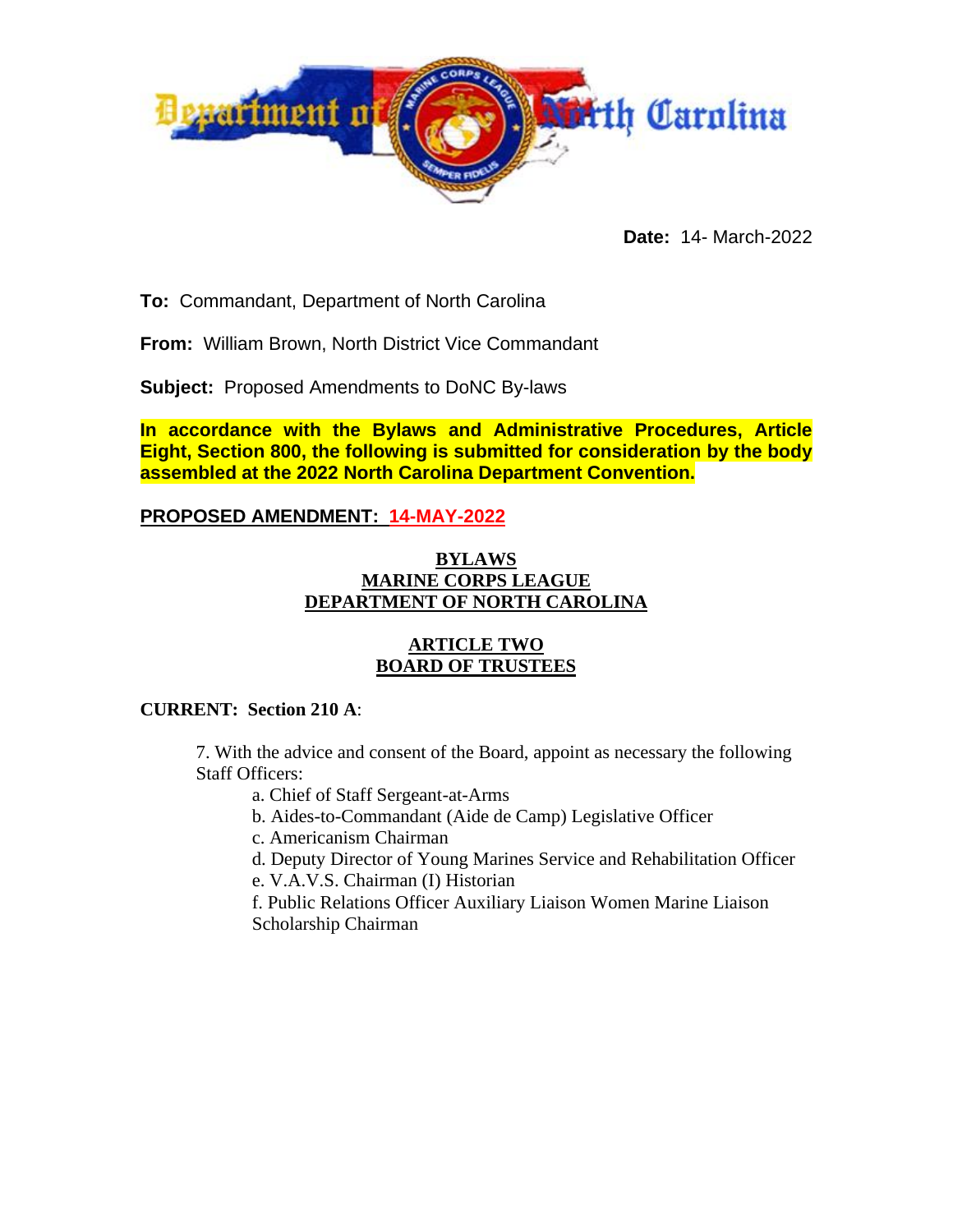

**Date:** 14- March-2022

**To:** Commandant, Department of North Carolina

**From:** William Brown, North District Vice Commandant

**Subject:** Proposed Amendments to DoNC By-laws

**In accordance with the Bylaws and Administrative Procedures, Article Eight, Section 800, the following is submitted for consideration by the body assembled at the 2022 North Carolina Department Convention.**

# **PROPOSED AMENDMENT: 14-MAY-2022**

#### **BYLAWS MARINE CORPS LEAGUE DEPARTMENT OF NORTH CAROLINA**

#### **ARTICLE TWO BOARD OF TRUSTEES**

#### **CURRENT: Section 210 A**:

7. With the advice and consent of the Board, appoint as necessary the following Staff Officers:

a. Chief of Staff Sergeant-at-Arms

b. Aides-to-Commandant (Aide de Camp) Legislative Officer

c. Americanism Chairman

d. Deputy Director of Young Marines Service and Rehabilitation Officer

e. V.A.V.S. Chairman (I) Historian

f. Public Relations Officer Auxiliary Liaison Women Marine Liaison Scholarship Chairman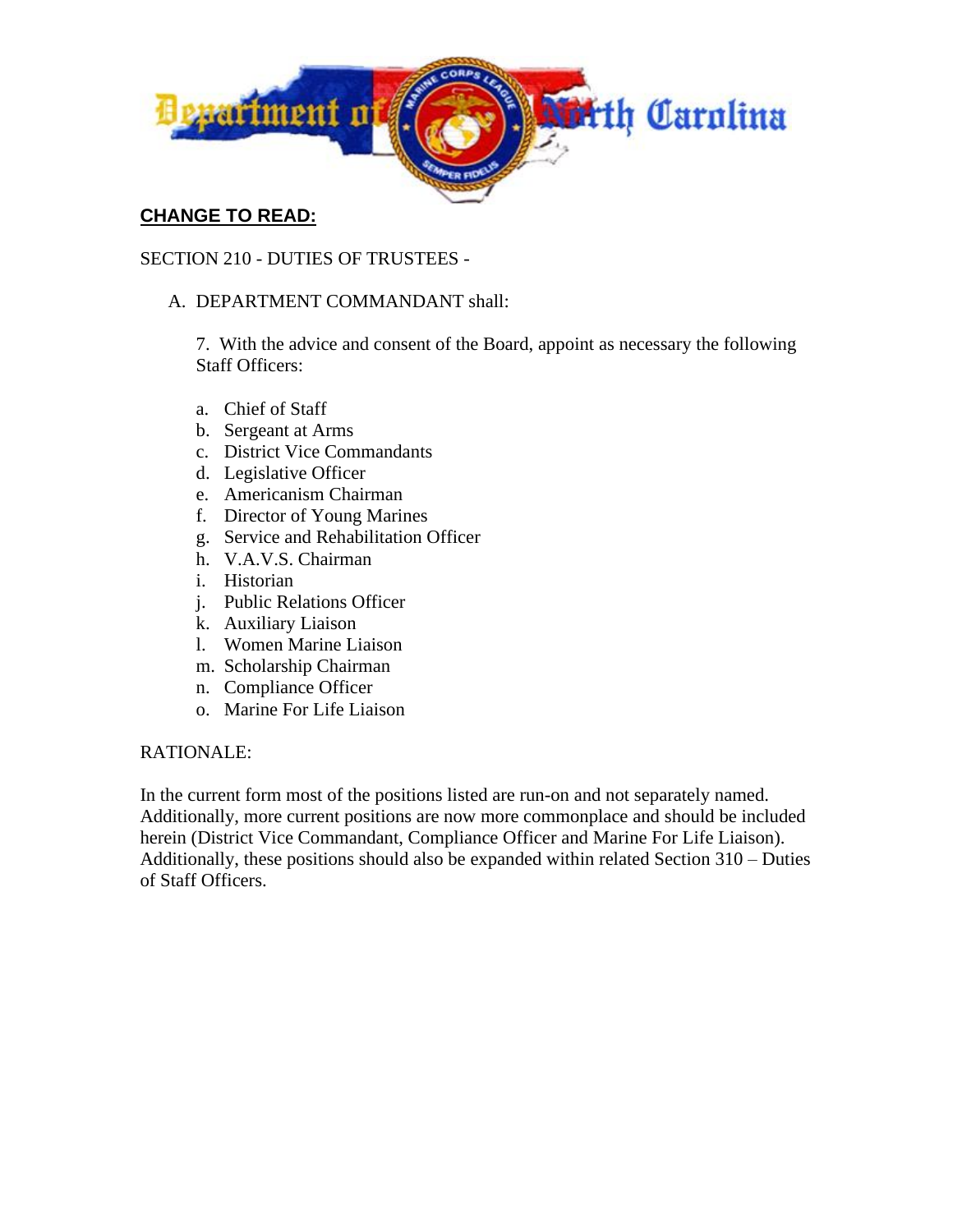

# **CHANGE TO READ:**

# SECTION 210 - DUTIES OF TRUSTEES -

### A. DEPARTMENT COMMANDANT shall:

7. With the advice and consent of the Board, appoint as necessary the following Staff Officers:

- a. Chief of Staff
- b. Sergeant at Arms
- c. District Vice Commandants
- d. Legislative Officer
- e. Americanism Chairman
- f. Director of Young Marines
- g. Service and Rehabilitation Officer
- h. V.A.V.S. Chairman
- i. Historian
- j. Public Relations Officer
- k. Auxiliary Liaison
- l. Women Marine Liaison
- m. Scholarship Chairman
- n. Compliance Officer
- o. Marine For Life Liaison

#### RATIONALE:

In the current form most of the positions listed are run-on and not separately named. Additionally, more current positions are now more commonplace and should be included herein (District Vice Commandant, Compliance Officer and Marine For Life Liaison). Additionally, these positions should also be expanded within related Section 310 – Duties of Staff Officers.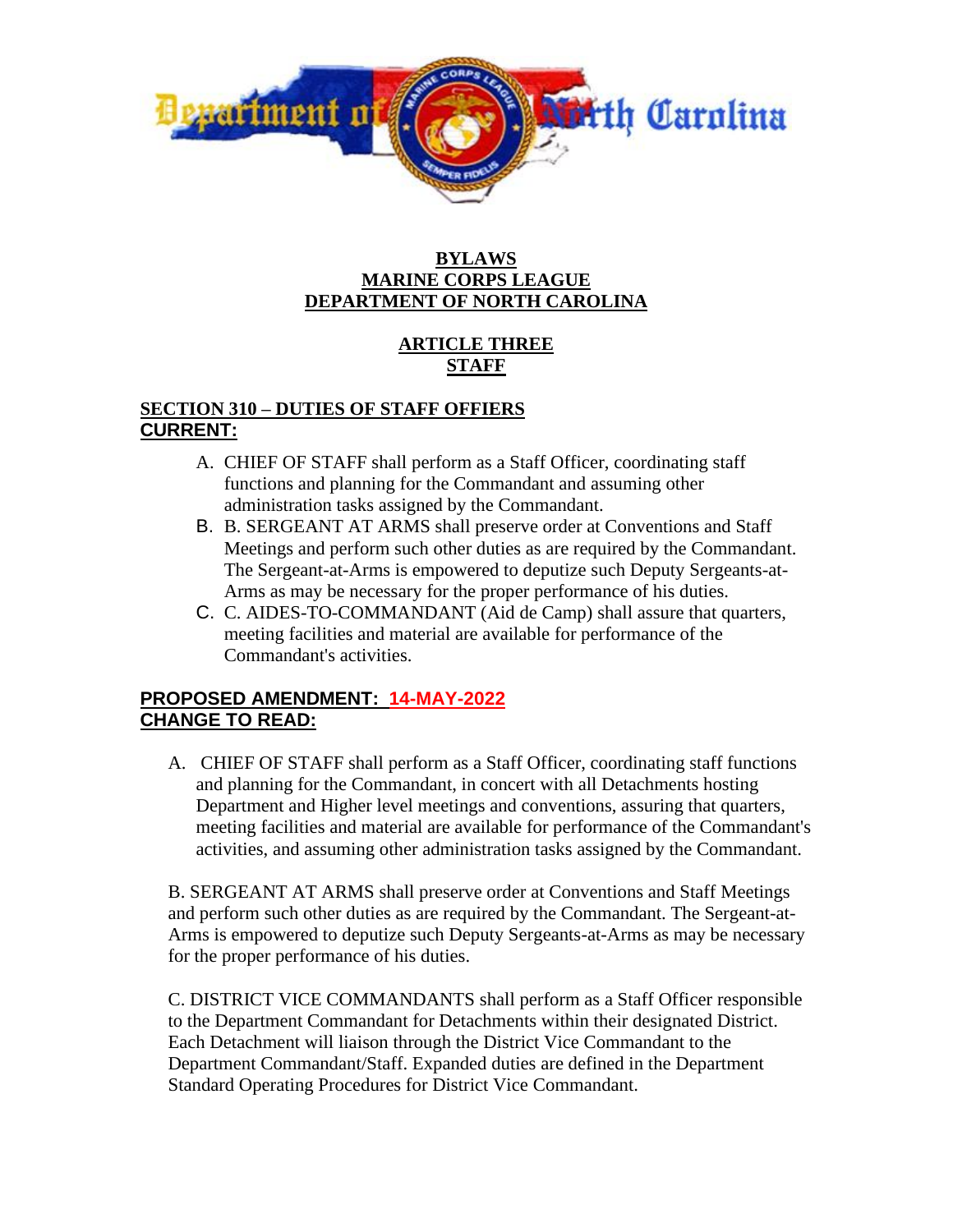

#### **BYLAWS MARINE CORPS LEAGUE DEPARTMENT OF NORTH CAROLINA**

# **ARTICLE THREE STAFF**

#### **SECTION 310 – DUTIES OF STAFF OFFIERS CURRENT:**

- A. CHIEF OF STAFF shall perform as a Staff Officer, coordinating staff functions and planning for the Commandant and assuming other administration tasks assigned by the Commandant.
- B. B. SERGEANT AT ARMS shall preserve order at Conventions and Staff Meetings and perform such other duties as are required by the Commandant. The Sergeant-at-Arms is empowered to deputize such Deputy Sergeants-at-Arms as may be necessary for the proper performance of his duties.
- C. C. AIDES-TO-COMMANDANT (Aid de Camp) shall assure that quarters, meeting facilities and material are available for performance of the Commandant's activities.

### **PROPOSED AMENDMENT: 14-MAY-2022 CHANGE TO READ:**

A. CHIEF OF STAFF shall perform as a Staff Officer, coordinating staff functions and planning for the Commandant, in concert with all Detachments hosting Department and Higher level meetings and conventions, assuring that quarters, meeting facilities and material are available for performance of the Commandant's activities, and assuming other administration tasks assigned by the Commandant.

B. SERGEANT AT ARMS shall preserve order at Conventions and Staff Meetings and perform such other duties as are required by the Commandant. The Sergeant-at-Arms is empowered to deputize such Deputy Sergeants-at-Arms as may be necessary for the proper performance of his duties.

C. DISTRICT VICE COMMANDANTS shall perform as a Staff Officer responsible to the Department Commandant for Detachments within their designated District. Each Detachment will liaison through the District Vice Commandant to the Department Commandant/Staff. Expanded duties are defined in the Department Standard Operating Procedures for District Vice Commandant.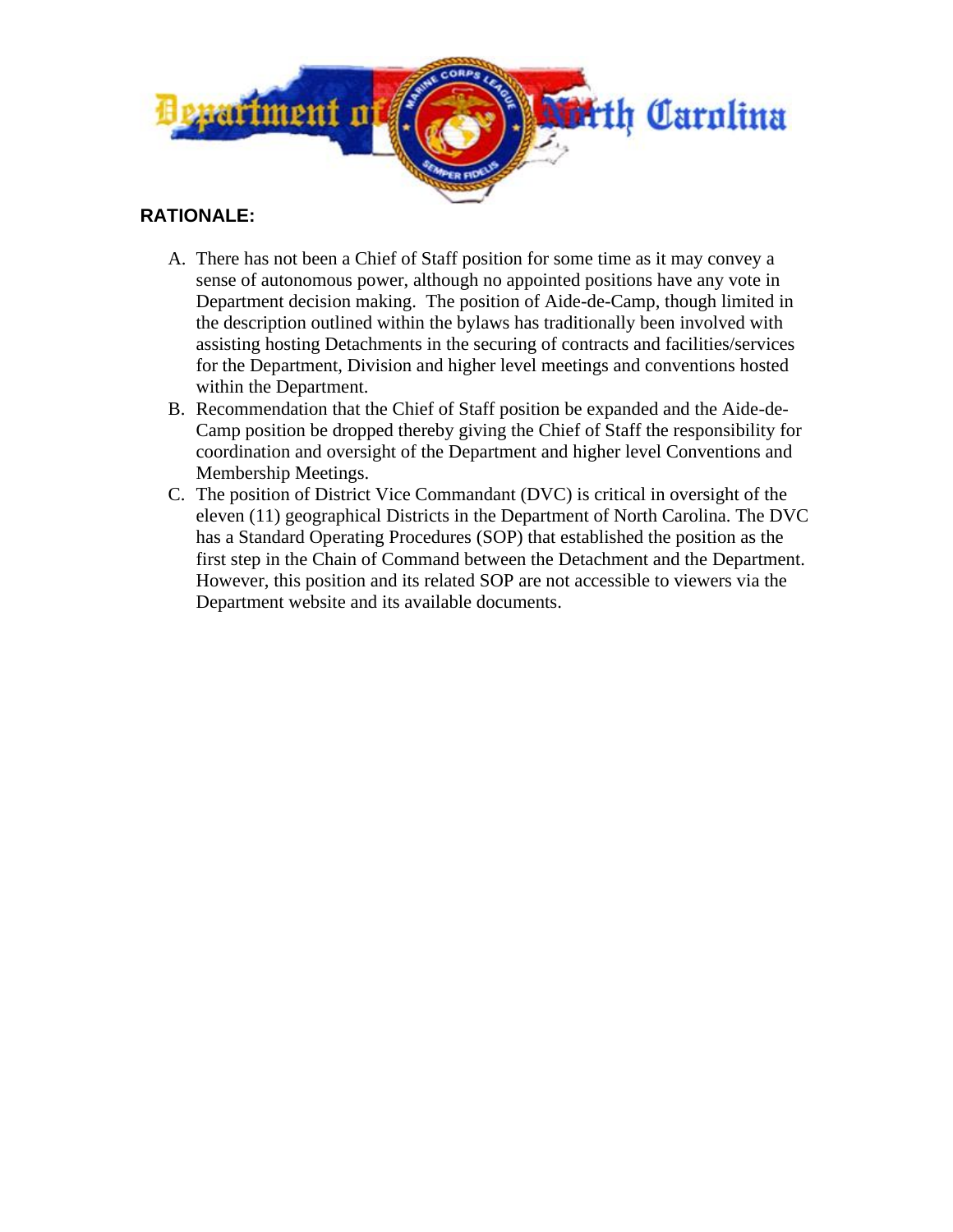

# **RATIONALE:**

- A. There has not been a Chief of Staff position for some time as it may convey a sense of autonomous power, although no appointed positions have any vote in Department decision making. The position of Aide-de-Camp, though limited in the description outlined within the bylaws has traditionally been involved with assisting hosting Detachments in the securing of contracts and facilities/services for the Department, Division and higher level meetings and conventions hosted within the Department.
- B. Recommendation that the Chief of Staff position be expanded and the Aide-de-Camp position be dropped thereby giving the Chief of Staff the responsibility for coordination and oversight of the Department and higher level Conventions and Membership Meetings.
- C. The position of District Vice Commandant (DVC) is critical in oversight of the eleven (11) geographical Districts in the Department of North Carolina. The DVC has a Standard Operating Procedures (SOP) that established the position as the first step in the Chain of Command between the Detachment and the Department. However, this position and its related SOP are not accessible to viewers via the Department website and its available documents.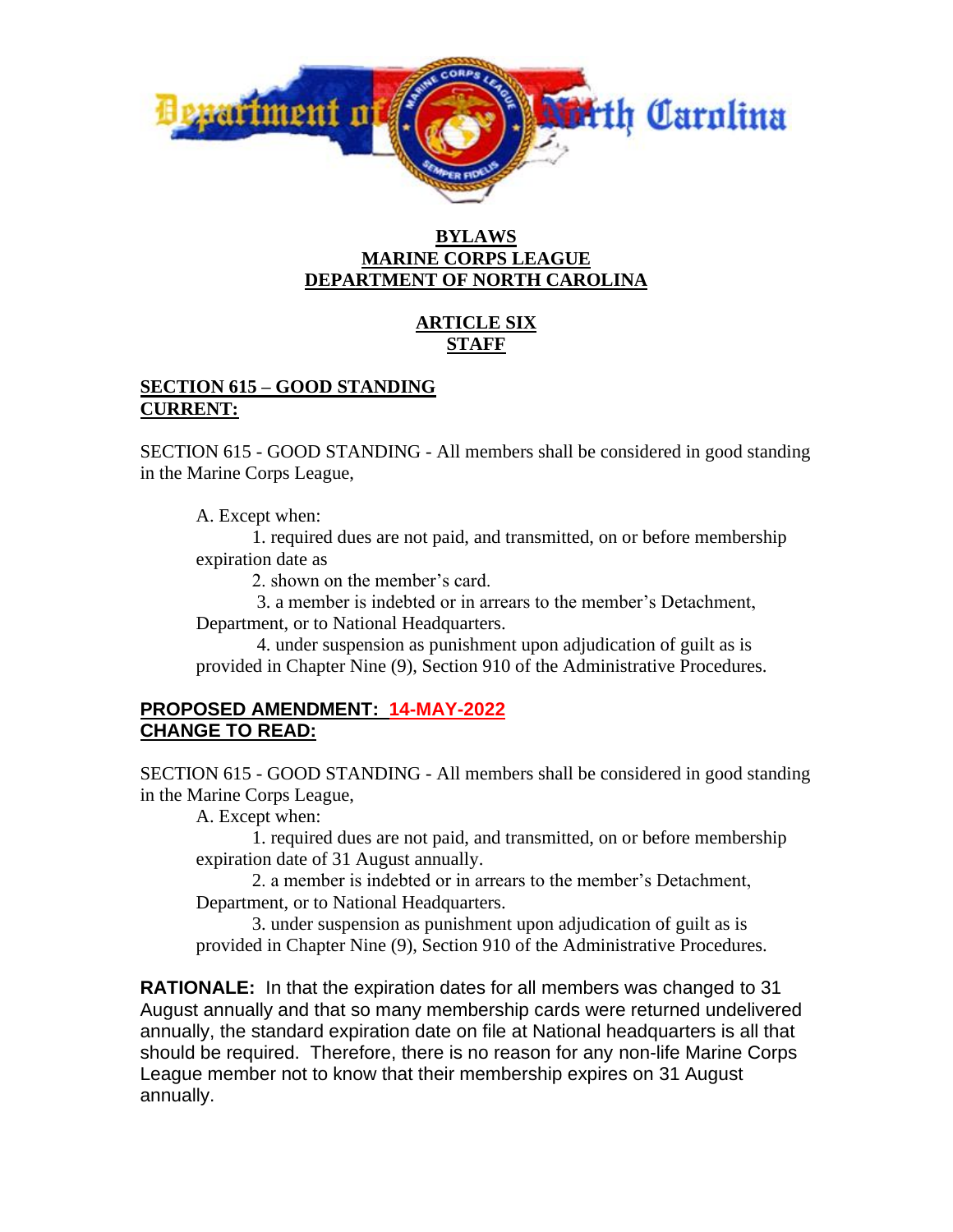

#### **BYLAWS MARINE CORPS LEAGUE DEPARTMENT OF NORTH CAROLINA**

# **ARTICLE SIX STAFF**

### **SECTION 615 – GOOD STANDING CURRENT:**

SECTION 615 - GOOD STANDING - All members shall be considered in good standing in the Marine Corps League,

A. Except when:

1. required dues are not paid, and transmitted, on or before membership expiration date as

2. shown on the member's card.

3. a member is indebted or in arrears to the member's Detachment, Department, or to National Headquarters.

4. under suspension as punishment upon adjudication of guilt as is provided in Chapter Nine (9), Section 910 of the Administrative Procedures.

# **PROPOSED AMENDMENT: 14-MAY-2022 CHANGE TO READ:**

SECTION 615 - GOOD STANDING - All members shall be considered in good standing in the Marine Corps League,

A. Except when:

1. required dues are not paid, and transmitted, on or before membership expiration date of 31 August annually.

2. a member is indebted or in arrears to the member's Detachment, Department, or to National Headquarters.

3. under suspension as punishment upon adjudication of guilt as is provided in Chapter Nine (9), Section 910 of the Administrative Procedures.

**RATIONALE:** In that the expiration dates for all members was changed to 31 August annually and that so many membership cards were returned undelivered annually, the standard expiration date on file at National headquarters is all that should be required. Therefore, there is no reason for any non-life Marine Corps League member not to know that their membership expires on 31 August annually.